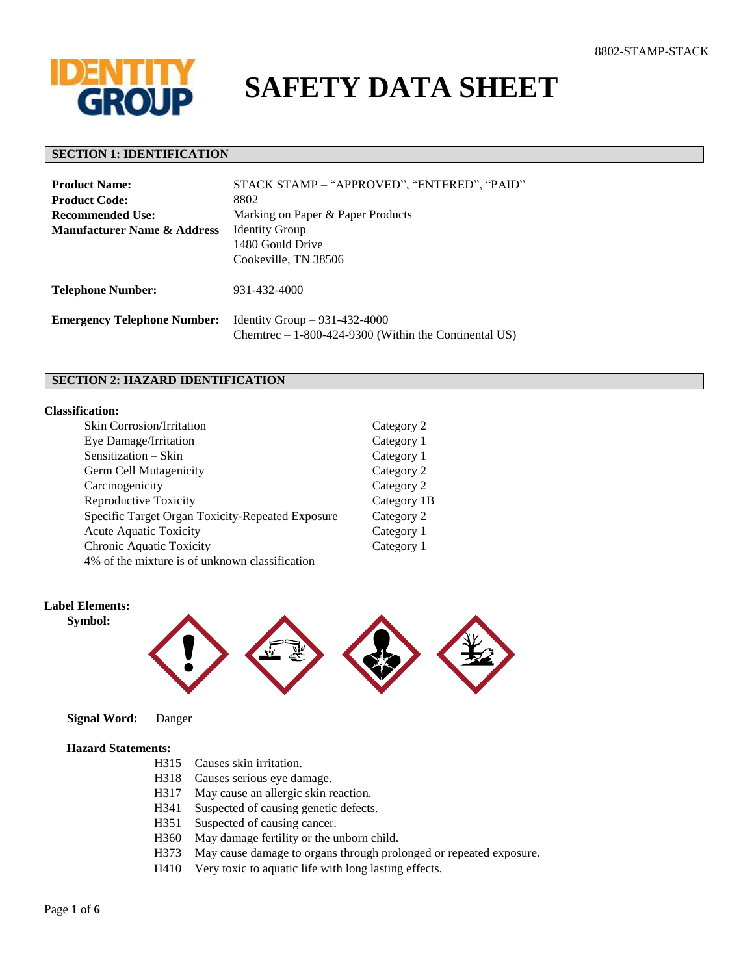

# **SAFETY DATA SHEET**

#### **SECTION 1: IDENTIFICATION**

| <b>Product Name:</b>                   | STACK STAMP - "APPROVED", "ENTERED", "PAID"                                              |  |
|----------------------------------------|------------------------------------------------------------------------------------------|--|
| <b>Product Code:</b>                   | 8802                                                                                     |  |
| Recommended Use:                       | Marking on Paper & Paper Products                                                        |  |
| <b>Manufacturer Name &amp; Address</b> | <b>Identity Group</b>                                                                    |  |
|                                        | 1480 Gould Drive                                                                         |  |
|                                        | Cookeville, TN 38506                                                                     |  |
| <b>Telephone Number:</b>               | 931-432-4000                                                                             |  |
| <b>Emergency Telephone Number:</b>     | Identity Group $-931-432-4000$<br>Chemtrec $-1-800-424-9300$ (Within the Continental US) |  |

## **SECTION 2: HAZARD IDENTIFICATION**

#### **Classification:**

| <b>Skin Corrosion/Irritation</b>                 | Category 2  |
|--------------------------------------------------|-------------|
| Eye Damage/Irritation                            | Category 1  |
| Sensitization - Skin                             | Category 1  |
| Germ Cell Mutagenicity                           | Category 2  |
| Carcinogenicity                                  | Category 2  |
| Reproductive Toxicity                            | Category 1B |
| Specific Target Organ Toxicity-Repeated Exposure | Category 2  |
| Acute Aquatic Toxicity                           | Category 1  |
| Chronic Aquatic Toxicity                         | Category 1  |
| 4% of the mixture is of unknown classification   |             |

## **Label Elements:**

 **Symbol:**



 **Signal Word:** Danger

#### **Hazard Statements:**

- H315 Causes skin irritation.
- H318 Causes serious eye damage.
- H317 May cause an allergic skin reaction.
- H341 Suspected of causing genetic defects.
- H351 Suspected of causing cancer.
- H360 May damage fertility or the unborn child.
- H373 May cause damage to organs through prolonged or repeated exposure.
- H410 Very toxic to aquatic life with long lasting effects.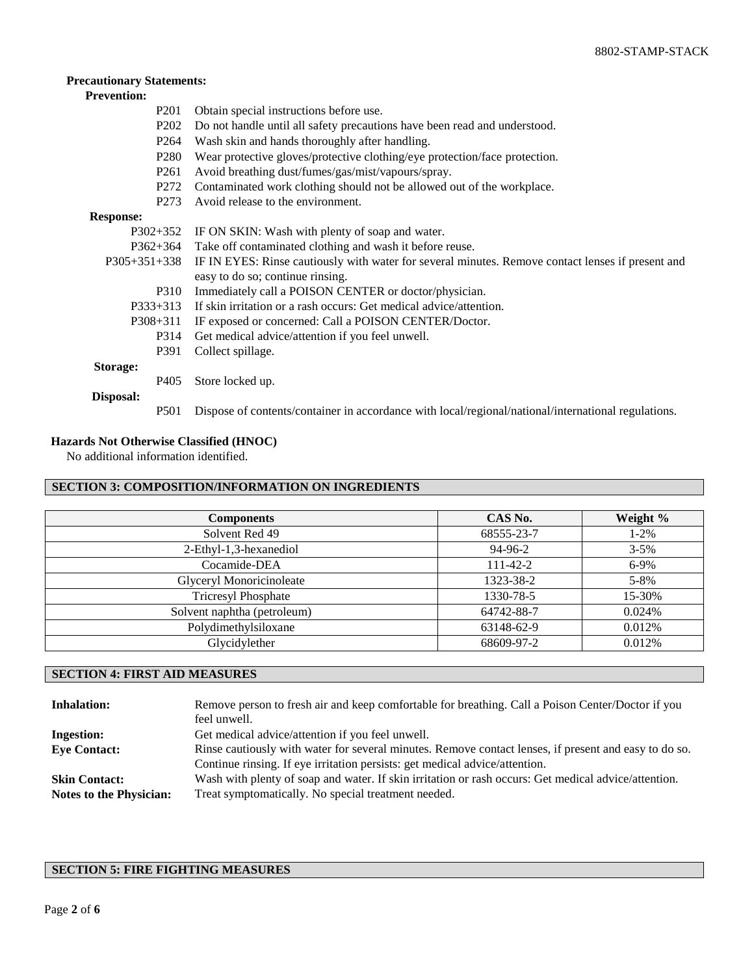## **Precautionary Statements:**

# **Prevention:**

| P <sub>201</sub>              | Obtain special instructions before use.                                                             |
|-------------------------------|-----------------------------------------------------------------------------------------------------|
| P <sub>2</sub> 0 <sub>2</sub> | Do not handle until all safety precautions have been read and understood.                           |
| P <sub>264</sub>              | Wash skin and hands thoroughly after handling.                                                      |
| P <sub>280</sub>              | Wear protective gloves/protective clothing/eye protection/face protection.                          |
| P <sub>261</sub>              | Avoid breathing dust/fumes/gas/mist/vapours/spray.                                                  |
| P <sub>272</sub>              | Contaminated work clothing should not be allowed out of the workplace.                              |
| P <sub>273</sub>              | Avoid release to the environment.                                                                   |
| <b>Response:</b>              |                                                                                                     |
| $P302+352$                    | IF ON SKIN: Wash with plenty of soap and water.                                                     |
| $P362+364$                    | Take off contaminated clothing and wash it before reuse.                                            |
| $P305+351+338$                | IF IN EYES: Rinse cautiously with water for several minutes. Remove contact lenses if present and   |
|                               | easy to do so; continue rinsing.                                                                    |
| P310                          | Immediately call a POISON CENTER or doctor/physician.                                               |
| $P333+313$                    | If skin irritation or a rash occurs: Get medical advice/attention.                                  |
| $P308 + 311$                  | IF exposed or concerned: Call a POISON CENTER/Doctor.                                               |
| P314                          | Get medical advice/attention if you feel unwell.                                                    |
| P391                          | Collect spillage.                                                                                   |
| Storage:                      |                                                                                                     |
| P <sub>405</sub>              | Store locked up.                                                                                    |
| Disposal:                     |                                                                                                     |
| <b>P501</b>                   | Dispose of contents/container in accordance with local/regional/national/international regulations. |

## **Hazards Not Otherwise Classified (HNOC)**

No additional information identified.

# **SECTION 3: COMPOSITION/INFORMATION ON INGREDIENTS**

| <b>Components</b>           | CAS No.        | Weight %  |
|-----------------------------|----------------|-----------|
| Solvent Red 49              | 68555-23-7     | $1 - 2\%$ |
| 2-Ethyl-1,3-hexanediol      | 94-96-2        | $3 - 5\%$ |
| Cocamide-DEA                | $111 - 42 - 2$ | $6-9%$    |
| Glyceryl Monoricinoleate    | 1323-38-2      | $5 - 8\%$ |
| <b>Tricresyl Phosphate</b>  | 1330-78-5      | 15-30%    |
| Solvent naphtha (petroleum) | 64742-88-7     | 0.024%    |
| Polydimethylsiloxane        | 63148-62-9     | 0.012%    |
| Glycidylether               | 68609-97-2     | 0.012%    |

## **SECTION 4: FIRST AID MEASURES**

| <b>Inhalation:</b>             | Remove person to fresh air and keep comfortable for breathing. Call a Poison Center/Doctor if you<br>feel unwell. |
|--------------------------------|-------------------------------------------------------------------------------------------------------------------|
| <b>Ingestion:</b>              | Get medical advice/attention if you feel unwell.                                                                  |
| <b>Eye Contact:</b>            | Rinse cautiously with water for several minutes. Remove contact lenses, if present and easy to do so.             |
|                                | Continue rinsing. If eye irritation persists: get medical advice/attention.                                       |
| <b>Skin Contact:</b>           | Wash with plenty of soap and water. If skin irritation or rash occurs: Get medical advice/attention.              |
| <b>Notes to the Physician:</b> | Treat symptomatically. No special treatment needed.                                                               |

## **SECTION 5: FIRE FIGHTING MEASURES**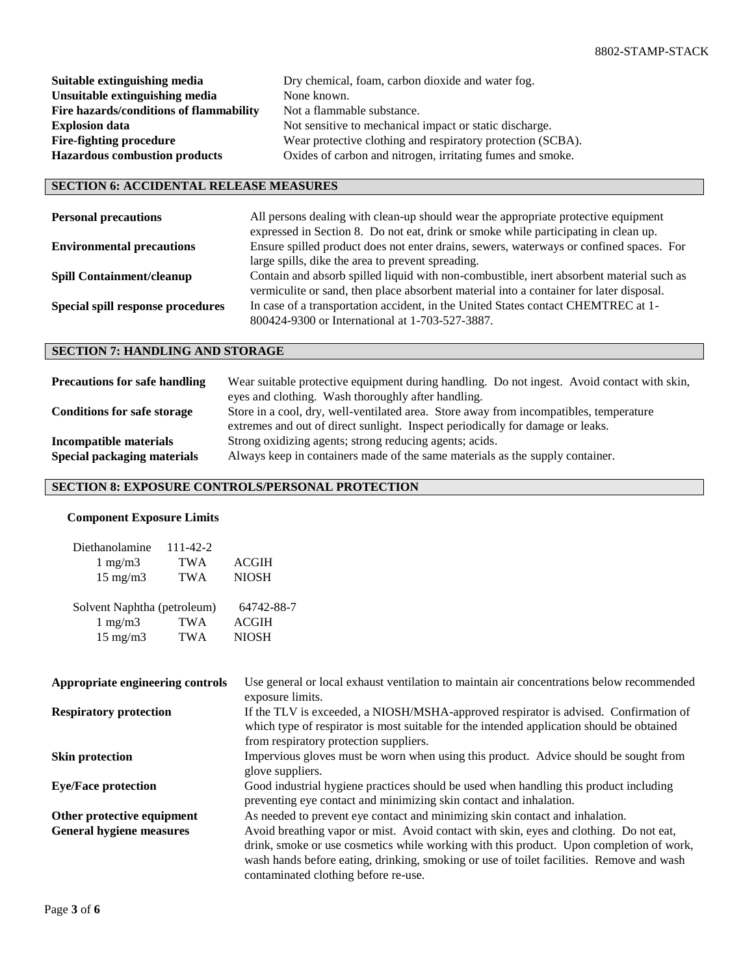| Suitable extinguishing media            | Dry chemical, foam, carbon dioxide and water fog.           |
|-----------------------------------------|-------------------------------------------------------------|
| Unsuitable extinguishing media          | None known.                                                 |
| Fire hazards/conditions of flammability | Not a flammable substance.                                  |
| <b>Explosion data</b>                   | Not sensitive to mechanical impact or static discharge.     |
| <b>Fire-fighting procedure</b>          | Wear protective clothing and respiratory protection (SCBA). |
| <b>Hazardous combustion products</b>    | Oxides of carbon and nitrogen, irritating fumes and smoke.  |

## **SECTION 6: ACCIDENTAL RELEASE MEASURES**

| <b>Personal precautions</b>       | All persons dealing with clean-up should wear the appropriate protective equipment<br>expressed in Section 8. Do not eat, drink or smoke while participating in clean up.           |
|-----------------------------------|-------------------------------------------------------------------------------------------------------------------------------------------------------------------------------------|
| <b>Environmental precautions</b>  | Ensure spilled product does not enter drains, sewers, waterways or confined spaces. For<br>large spills, dike the area to prevent spreading.                                        |
| <b>Spill Containment/cleanup</b>  | Contain and absorb spilled liquid with non-combustible, inert absorbent material such as<br>vermiculite or sand, then place absorbent material into a container for later disposal. |
| Special spill response procedures | In case of a transportation accident, in the United States contact CHEMTREC at 1-<br>800424-9300 or International at 1-703-527-3887.                                                |

# **SECTION 7: HANDLING AND STORAGE**

| <b>Precautions for safe handling</b> | Wear suitable protective equipment during handling. Do not ingest. Avoid contact with skin,<br>eyes and clothing. Wash thoroughly after handling.                        |  |
|--------------------------------------|--------------------------------------------------------------------------------------------------------------------------------------------------------------------------|--|
| <b>Conditions for safe storage</b>   | Store in a cool, dry, well-ventilated area. Store away from incompatibles, temperature<br>extremes and out of direct sunlight. Inspect periodically for damage or leaks. |  |
| <b>Incompatible materials</b>        | Strong oxidizing agents; strong reducing agents; acids.                                                                                                                  |  |
| Special packaging materials          | Always keep in containers made of the same materials as the supply container.                                                                                            |  |

# **SECTION 8: EXPOSURE CONTROLS/PERSONAL PROTECTION**

#### **Component Exposure Limits**

| Diethanolamine              | 111-42-2   |              |
|-----------------------------|------------|--------------|
| $1 \text{ mg/m}$            | <b>TWA</b> | <b>ACGIH</b> |
| $15 \text{ mg/m}$           | <b>TWA</b> | <b>NIOSH</b> |
|                             |            |              |
| Solvent Naphtha (petroleum) |            | 64742-88-7   |
| $1 \text{ mg/m}$            | <b>TWA</b> | <b>ACGIH</b> |
| $15 \text{ mg/m}$           | <b>TWA</b> | <b>NIOSH</b> |

| Appropriate engineering controls | Use general or local exhaust ventilation to maintain air concentrations below recommended<br>exposure limits.                                                                                                               |
|----------------------------------|-----------------------------------------------------------------------------------------------------------------------------------------------------------------------------------------------------------------------------|
| <b>Respiratory protection</b>    | If the TLV is exceeded, a NIOSH/MSHA-approved respirator is advised. Confirmation of<br>which type of respirator is most suitable for the intended application should be obtained<br>from respiratory protection suppliers. |
| <b>Skin protection</b>           | Impervious gloves must be worn when using this product. Advice should be sought from<br>glove suppliers.                                                                                                                    |
| <b>Eye/Face protection</b>       | Good industrial hygiene practices should be used when handling this product including<br>preventing eye contact and minimizing skin contact and inhalation.                                                                 |
| Other protective equipment       | As needed to prevent eye contact and minimizing skin contact and inhalation.                                                                                                                                                |
| <b>General hygiene measures</b>  | Avoid breathing vapor or mist. Avoid contact with skin, eyes and clothing. Do not eat,                                                                                                                                      |
|                                  | drink, smoke or use cosmetics while working with this product. Upon completion of work,<br>wash hands before eating, drinking, smoking or use of toilet facilities. Remove and wash<br>contaminated clothing before re-use. |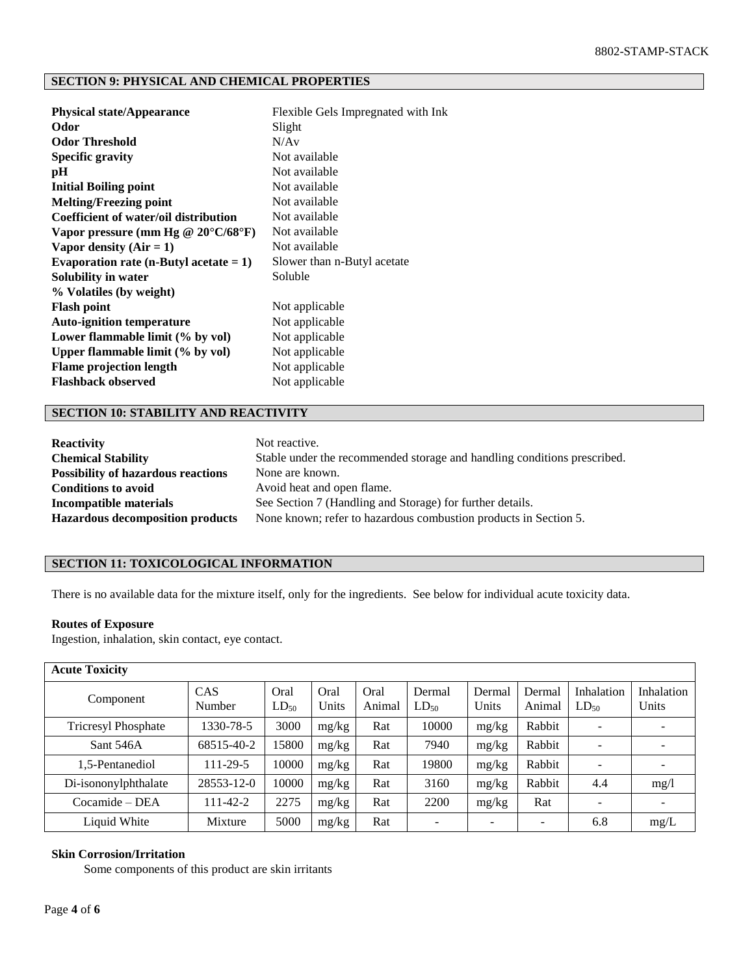## **SECTION 9: PHYSICAL AND CHEMICAL PROPERTIES**

| <b>Physical state/Appearance</b>             | Flexible Gels Impregnated with Ink |
|----------------------------------------------|------------------------------------|
| Odor                                         | Slight                             |
| <b>Odor Threshold</b>                        | N/Av                               |
| <b>Specific gravity</b>                      | Not available                      |
| рH                                           | Not available                      |
| <b>Initial Boiling point</b>                 | Not available                      |
| <b>Melting/Freezing point</b>                | Not available                      |
| Coefficient of water/oil distribution        | Not available                      |
| Vapor pressure (mm Hg @ $20^{\circ}$ C/68°F) | Not available                      |
| Vapor density $(Air = 1)$                    | Not available                      |
| Evaporation rate (n-Butyl acetate $= 1$ )    | Slower than n-Butyl acetate        |
| Solubility in water                          | Soluble                            |
| % Volatiles (by weight)                      |                                    |
| <b>Flash point</b>                           | Not applicable                     |
| <b>Auto-ignition temperature</b>             | Not applicable                     |
| Lower flammable limit (% by vol)             | Not applicable                     |
| Upper flammable limit (% by vol)             | Not applicable                     |
| <b>Flame projection length</b>               | Not applicable                     |
| <b>Flashback observed</b>                    | Not applicable                     |
|                                              |                                    |

## **SECTION 10: STABILITY AND REACTIVITY**

| <b>Reactivity</b>                         | Not reactive.                                                            |
|-------------------------------------------|--------------------------------------------------------------------------|
| <b>Chemical Stability</b>                 | Stable under the recommended storage and handling conditions prescribed. |
| <b>Possibility of hazardous reactions</b> | None are known.                                                          |
| <b>Conditions to avoid</b>                | Avoid heat and open flame.                                               |
| Incompatible materials                    | See Section 7 (Handling and Storage) for further details.                |
| <b>Hazardous decomposition products</b>   | None known; refer to hazardous combustion products in Section 5.         |

## **SECTION 11: TOXICOLOGICAL INFORMATION**

There is no available data for the mixture itself, only for the ingredients. See below for individual acute toxicity data.

#### **Routes of Exposure**

Ingestion, inhalation, skin contact, eye contact.

| <b>Acute Toxicity</b>      |                  |                   |               |                |                          |                          |                          |                          |                            |
|----------------------------|------------------|-------------------|---------------|----------------|--------------------------|--------------------------|--------------------------|--------------------------|----------------------------|
| Component                  | CAS<br>Number    | Oral<br>$LD_{50}$ | Oral<br>Units | Oral<br>Animal | Dermal<br>$LD_{50}$      | Dermal<br>Units          | Dermal<br>Animal         | Inhalation<br>$LD_{50}$  | <b>Inhalation</b><br>Units |
| <b>Tricresyl Phosphate</b> | 1330-78-5        | 3000              | mg/kg         | Rat            | 10000                    | mg/kg                    | Rabbit                   | $\overline{\phantom{0}}$ |                            |
| Sant 546A                  | 68515-40-2       | 15800             | mg/kg         | Rat            | 7940                     | mg/kg                    | Rabbit                   |                          |                            |
| 1,5-Pentanediol            | 111-29-5         | 10000             | mg/kg         | Rat            | 19800                    | mg/kg                    | Rabbit                   | $\overline{\phantom{a}}$ |                            |
| Di-isononylphthalate       | $28553 - 12 - 0$ | 10000             | mg/kg         | Rat            | 3160                     | mg/kg                    | Rabbit                   | 4.4                      | mg/1                       |
| $Cocamide - DEA$           | 111-42-2         | 2275              | mg/kg         | Rat            | 2200                     | mg/kg                    | Rat                      |                          |                            |
| Liquid White               | Mixture          | 5000              | mg/kg         | Rat            | $\overline{\phantom{0}}$ | $\overline{\phantom{a}}$ | $\overline{\phantom{a}}$ | 6.8                      | mg/L                       |

## **Skin Corrosion/Irritation**

Some components of this product are skin irritants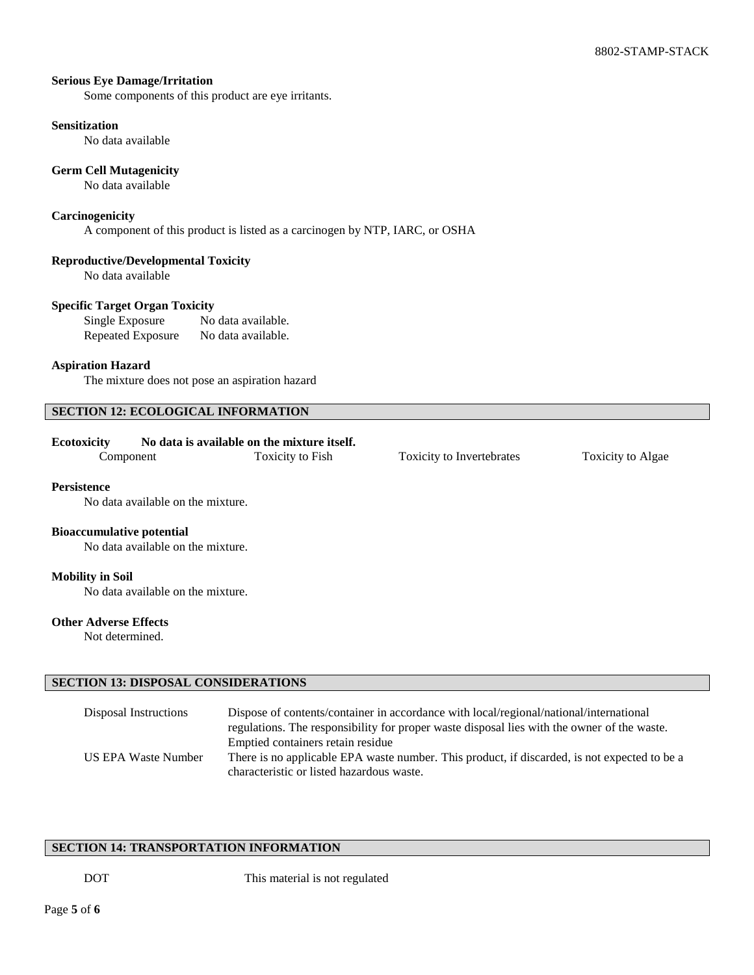## **Serious Eye Damage/Irritation**

Some components of this product are eye irritants.

#### **Sensitization**

No data available

## **Germ Cell Mutagenicity**

No data available

## **Carcinogenicity**

A component of this product is listed as a carcinogen by NTP, IARC, or OSHA

## **Reproductive/Developmental Toxicity**

No data available

#### **Specific Target Organ Toxicity**

Single Exposure No data available. Repeated Exposure No data available.

#### **Aspiration Hazard**

The mixture does not pose an aspiration hazard

## **SECTION 12: ECOLOGICAL INFORMATION**

#### **Ecotoxicity No data is available on the mixture itself.**

Component Toxicity to Fish Toxicity to Invertebrates Toxicity to Algae

#### **Persistence**

No data available on the mixture.

#### **Bioaccumulative potential**

No data available on the mixture.

#### **Mobility in Soil**

No data available on the mixture.

#### **Other Adverse Effects**

Not determined.

#### **SECTION 13: DISPOSAL CONSIDERATIONS**

| Disposal Instructions | Dispose of contents/container in accordance with local/regional/national/international       |
|-----------------------|----------------------------------------------------------------------------------------------|
|                       | regulations. The responsibility for proper waste disposal lies with the owner of the waste.  |
|                       | Emptied containers retain residue                                                            |
| US EPA Waste Number   | There is no applicable EPA waste number. This product, if discarded, is not expected to be a |
|                       | characteristic or listed hazardous waste.                                                    |

#### **SECTION 14: TRANSPORTATION INFORMATION**

DOT This material is not regulated